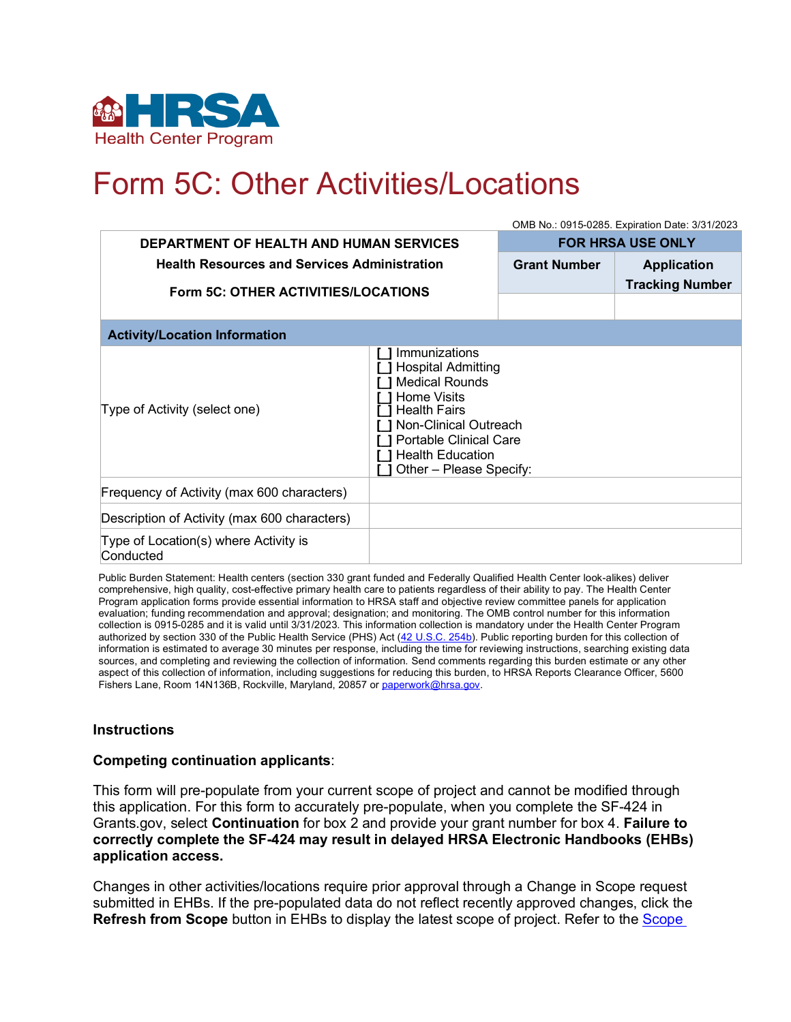

## Form 5C: Other Activities/Locations

|                                                     | OMB No.: 0915-0285. Expiration Date: 3/31/2023                                                                                                                                                                                   |                          |                        |
|-----------------------------------------------------|----------------------------------------------------------------------------------------------------------------------------------------------------------------------------------------------------------------------------------|--------------------------|------------------------|
| <b>DEPARTMENT OF HEALTH AND HUMAN SERVICES</b>      |                                                                                                                                                                                                                                  | <b>FOR HRSA USE ONLY</b> |                        |
| <b>Health Resources and Services Administration</b> |                                                                                                                                                                                                                                  | <b>Grant Number</b>      | <b>Application</b>     |
| Form 5C: OTHER ACTIVITIES/LOCATIONS                 |                                                                                                                                                                                                                                  |                          | <b>Tracking Number</b> |
|                                                     |                                                                                                                                                                                                                                  |                          |                        |
| <b>Activity/Location Information</b>                |                                                                                                                                                                                                                                  |                          |                        |
| Type of Activity (select one)                       | Immunizations<br><b>Hospital Admitting</b><br><b>Medical Rounds</b><br><b>Home Visits</b><br><b>Health Fairs</b><br>Non-Clinical Outreach<br><b>Portable Clinical Care</b><br><b>Health Education</b><br>Other - Please Specify: |                          |                        |
| Frequency of Activity (max 600 characters)          |                                                                                                                                                                                                                                  |                          |                        |
| Description of Activity (max 600 characters)        |                                                                                                                                                                                                                                  |                          |                        |
| Type of Location(s) where Activity is<br>Conducted  |                                                                                                                                                                                                                                  |                          |                        |

Public Burden Statement: Health centers (section 330 grant funded and Federally Qualified Health Center look-alikes) deliver comprehensive, high quality, cost-effective primary health care to patients regardless of their ability to pay. The Health Center Program application forms provide essential information to HRSA staff and objective review committee panels for application evaluation; funding recommendation and approval; designation; and monitoring. The OMB control number for this information collection is 0915-0285 and it is valid until 3/31/2023. This information collection is mandatory under the Health Center Program authorized by section 330 of the Public Health Service (PHS) Act [\(42 U.S.C. 254b\).](http://uscode.house.gov/view.xhtml?req=granuleid:USC-prelim-title42-section254b&num=0&edition=prelim) Public reporting burden for this collection of information is estimated to average 30 minutes per response, including the time for reviewing instructions, searching existing data sources, and completing and reviewing the collection of information. Send comments regarding this burden estimate or any other aspect of this collection of information, including suggestions for reducing this burden, to HRSA Reports Clearance Officer, 5600 Fishers Lane, Room 14N136B, Rockville, Maryland, 20857 or [paperwork@hrsa.gov.](mailto:paperwork@hrsa.gov)

## **Instructions**

## **Competing continuation applicants**:

This form will pre-populate from your current scope of project and cannot be modified through this application. For this form to accurately pre-populate, when you complete the SF-424 in Grants.gov, select **Continuation** for box 2 and provide your grant number for box 4. **Failure to correctly complete the SF-424 may result in delayed HRSA Electronic Handbooks (EHBs) application access.**

Changes in other activities/locations require prior approval through a Change in Scope request submitted in EHBs. If the pre-populated data do not reflect recently approved changes, click the **Refresh from Scope** button in EHBs to display the latest scope of project. Refer to the [Scope](http://bphc.hrsa.gov/programrequirements/scope.html)